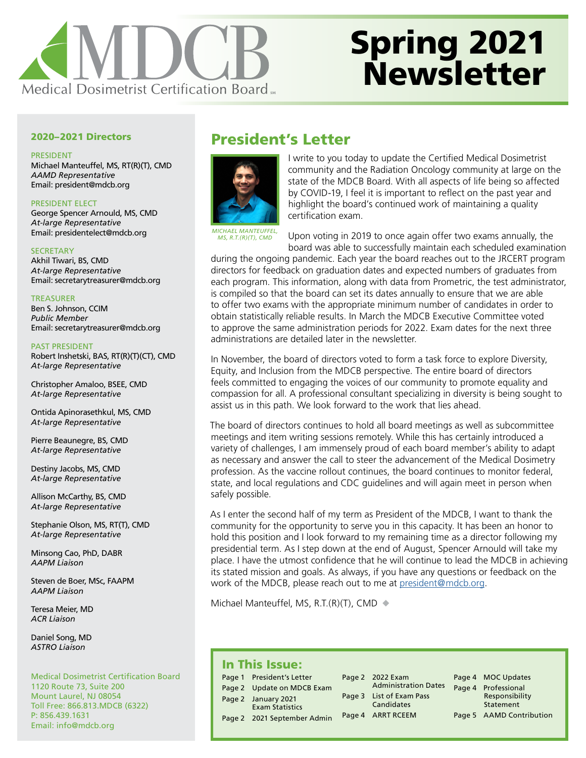

# Spring 2021 **Newsletter**

#### 2020–2021 Directors

PRESIDENT Michael Manteuffel, MS, RT(R)(T), CMD *AAMD Representative* Email: president@mdcb.org

PRESIDENT ELECT George Spencer Arnould, MS, CMD *At-large Representative*  Email: presidentelect@mdcb.org

**SECRETARY** Akhil Tiwari, BS, CMD *At-large Representative* Email: secretarytreasurer@mdcb.org

TREASURER Ben S. Johnson, CCIM *Public Member* Email: secretarytreasurer@mdcb.org

PAST PRESIDENT Robert Inshetski, BAS, RT(R)(T)(CT), CMD *At-large Representative*

Christopher Amaloo, BSEE, CMD *At-large Representative*

Ontida Apinorasethkul, MS, CMD *At-large Representative*

Pierre Beaunegre, BS, CMD *At-large Representative*

Destiny Jacobs, MS, CMD *At-large Representative*

Allison McCarthy, BS, CMD *At-large Representative*

Stephanie Olson, MS, RT(T), CMD *At-large Representative*

Minsong Cao, PhD, DABR *AAPM Liaison*

Steven de Boer, MSc, FAAPM *AAPM Liaison*

Teresa Meier, MD *ACR Liaison*

Daniel Song, MD *ASTRO Liaison*

Medical Dosimetrist Certification Board 1120 Route 73, Suite 200 Mount Laurel, NJ 08054 Toll Free: 866.813.MDCB (6322) P: 856.439.1631 Email: [info@mdcb.org](mailto:info%40mdcb.org?subject=)

# <span id="page-0-0"></span>President's Letter



I write to you today to update the Certified Medical Dosimetrist community and the Radiation Oncology community at large on the state of the MDCB Board. With all aspects of life being so affected by COVID-19, I feel it is important to reflect on the past year and highlight the board's continued work of maintaining a quality certification exam.

*MICHAEL MANTEUFFEL, MS, R.T.(R)(T), CMD*

Upon voting in 2019 to once again offer two exams annually, the board was able to successfully maintain each scheduled examination

during the ongoing pandemic. Each year the board reaches out to the JRCERT program directors for feedback on graduation dates and expected numbers of graduates from each program. This information, along with data from Prometric, the test administrator, is compiled so that the board can set its dates annually to ensure that we are able to offer two exams with the appropriate minimum number of candidates in order to obtain statistically reliable results. In March the MDCB Executive Committee voted to approve the same administration periods for 2022. Exam dates for the next three administrations are detailed later in the newsletter.

In November, the board of directors voted to form a task force to explore Diversity, Equity, and Inclusion from the MDCB perspective. The entire board of directors feels committed to engaging the voices of our community to promote equality and compassion for all. A professional consultant specializing in diversity is being sought to assist us in this path. We look forward to the work that lies ahead.

The board of directors continues to hold all board meetings as well as subcommittee meetings and item writing sessions remotely. While this has certainly introduced a variety of challenges, I am immensely proud of each board member's ability to adapt as necessary and answer the call to steer the advancement of the Medical Dosimetry profession. As the vaccine rollout continues, the board continues to monitor federal, state, and local regulations and CDC guidelines and will again meet in person when safely possible.

As I enter the second half of my term as President of the MDCB, I want to thank the community for the opportunity to serve you in this capacity. It has been an honor to hold this position and I look forward to my remaining time as a director following my presidential term. As I step down at the end of August, Spencer Arnould will take my place. I have the utmost confidence that he will continue to lead the MDCB in achieving its stated mission and goals. As always, if you have any questions or feedback on the work of the MDCB, please reach out to me at [president@mdcb.org.](mailto:president@mdcb.org)

Michael Manteuffel, MS, R.T. $(R)(T)$ , CMD  $\blacklozenge$ 

## In This Issue:

| . |                                               |  |                                        |  |
|---|-----------------------------------------------|--|----------------------------------------|--|
|   | Page 1 President's Letter                     |  | Page 2 2022 Exam                       |  |
|   | Page 2 Update on MDCB Exam                    |  | <b>Administration Dates</b>            |  |
|   | Page 2 January 2021<br><b>Exam Statistics</b> |  | Page 3 List of Exam Pass<br>Candidates |  |
|   | Page 2 2021 September Admin                   |  | Page 4 ARRT RCEEM                      |  |

Page 4 MOC Updates age 4 Professional [Responsibility](#page-3-0) 

- [Statement](#page-3-0)
- Page 5 AAMD Contribution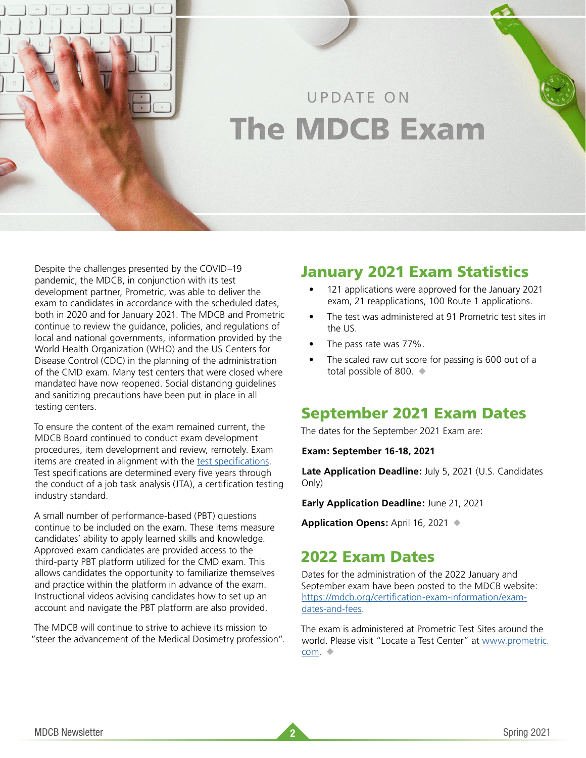# <span id="page-1-0"></span>UPDATE ON The MDCB Exam

Despite the challenges presented by the COVID–19 pandemic, the MDCB, in conjunction with its test development partner, Prometric, was able to deliver the exam to candidates in accordance with the scheduled dates, both in 2020 and for January 2021. The MDCB and Prometric continue to review the guidance, policies, and regulations of local and national governments, information provided by the World Health Organization (WHO) and the US Centers for Disease Control (CDC) in the planning of the administration of the CMD exam. Many test centers that were closed where mandated have now reopened. Social distancing guidelines and sanitizing precautions have been put in place in all testing centers.

To ensure the content of the exam remained current, the MDCB Board continued to conduct exam development procedures, item development and review, remotely. Exam items are created in alignment with the [test specifications](https://www.mdcb.org/sites/default/files/documents/2019/2018%20MDCB%20Test%20Specifications%20Matrix.pdf). Test specifications are determined every five years through the conduct of a job task analysis (JTA), a certification testing industry standard.

A small number of performance-based (PBT) questions continue to be included on the exam. These items measure candidates' ability to apply learned skills and knowledge. Approved exam candidates are provided access to the third-party PBT platform utilized for the CMD exam. This allows candidates the opportunity to familiarize themselves and practice within the platform in advance of the exam. Instructional videos advising candidates how to set up an account and navigate the PBT platform are also provided.

The MDCB will continue to strive to achieve its mission to "steer the advancement of the Medical Dosimetry profession".

# January 2021 Exam Statistics

- 121 applications were approved for the January 2021 exam, 21 reapplications, 100 Route 1 applications.
- The test was administered at 91 Prometric test sites in the US.
- The pass rate was 77%.
- The scaled raw cut score for passing is 600 out of a total possible of 800.  $\blacklozenge$

## September 2021 Exam Dates

The dates for the September 2021 Exam are:

**Exam: September 16-18, 2021**

**Late Application Deadline:** July 5, 2021 (U.S. Candidates Only)

**Early Application Deadline:** June 21, 2021

**Application Opens:** April 16, 2021 ◆

# 2022 Exam Dates

Dates for the administration of the 2022 January and September exam have been posted to the MDCB website: [https://mdcb.org/certification-exam-information/exam](https://mdcb.org/certification-exam-information/exam-dates-and-fees)[dates-and-fees.](https://mdcb.org/certification-exam-information/exam-dates-and-fees)

The exam is administered at Prometric Test Sites around the world. Please visit "Locate a Test Center" at [www.prometric.](http://www.prometric.com) [com](http://www.prometric.com). ◆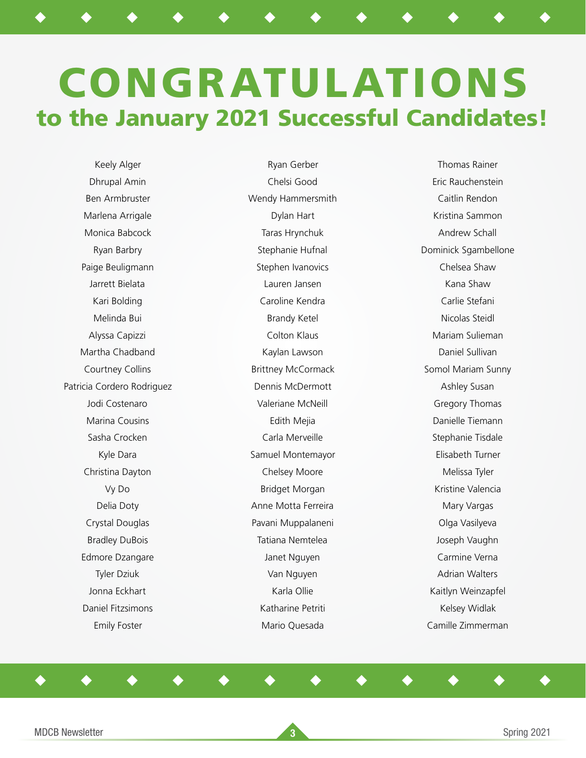# <span id="page-2-0"></span>CONGRATULATIONS to the January 2021 Successful Candidates!

◆ ◆ ◆ ◆ ◆ ◆ ◆ ◆ ◆ ◆ ◆ ◆ ◆

Keely Alger Dhrupal Amin Ben Armbruster Marlena Arrigale Monica Babcock Ryan Barbry Paige Beuligmann Jarrett Bielata Kari Bolding Melinda Bui Alyssa Capizzi Martha Chadband Courtney Collins Patricia Cordero Rodriguez Jodi Costenaro Marina Cousins Sasha Crocken Kyle Dara Christina Dayton Vy Do Delia Doty Crystal Douglas Bradley DuBois Edmore Dzangare Tyler Dziuk Jonna Eckhart Daniel Fitzsimons Emily Foster

Ryan Gerber Chelsi Good Wendy Hammersmith Dylan Hart Taras Hrynchuk Stephanie Hufnal Stephen Ivanovics Lauren Jansen Caroline Kendra Brandy Ketel Colton Klaus Kaylan Lawson Brittney McCormack Dennis McDermott Valeriane McNeill Edith Mejia Carla Merveille Samuel Montemayor Chelsey Moore Bridget Morgan Anne Motta Ferreira Pavani Muppalaneni Tatiana Nemtelea Janet Nguyen Van Nguyen Karla Ollie Katharine Petriti Mario Quesada

◆ ◆ ◆ ◆ ◆ ◆ ◆ ◆ ◆ ◆ ◆ ◆ ◆

Thomas Rainer Eric Rauchenstein Caitlin Rendon Kristina Sammon Andrew Schall Dominick Sgambellone Chelsea Shaw Kana Shaw Carlie Stefani Nicolas Steidl Mariam Sulieman Daniel Sullivan Somol Mariam Sunny Ashley Susan Gregory Thomas Danielle Tiemann Stephanie Tisdale Elisabeth Turner Melissa Tyler Kristine Valencia Mary Vargas Olga Vasilyeva Joseph Vaughn Carmine Verna Adrian Walters Kaitlyn Weinzapfel Kelsey Widlak Camille Zimmerman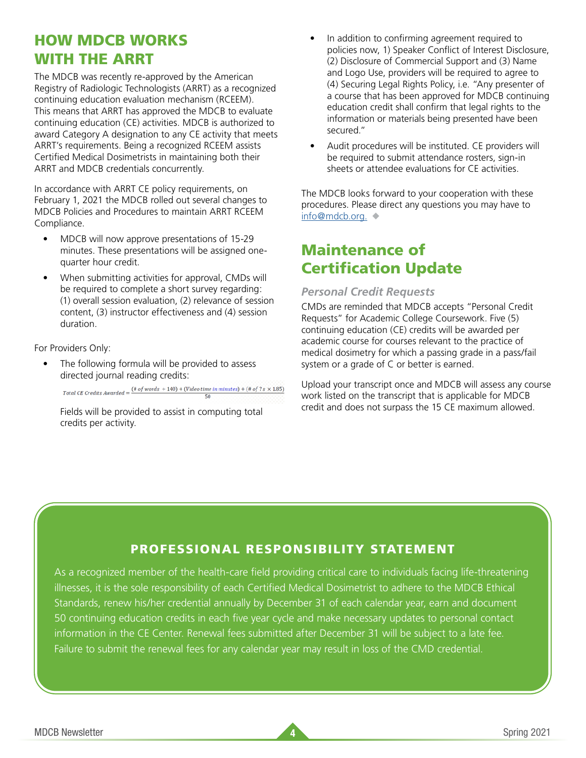# HOW MDCB WORKS WITH THE ARRT

The MDCB was recently re-approved by the American Registry of Radiologic Technologists (ARRT) as a recognized continuing education evaluation mechanism (RCEEM). This means that ARRT has approved the MDCB to evaluate continuing education (CE) activities. MDCB is authorized to award Category A designation to any CE activity that meets ARRT's requirements. Being a recognized RCEEM assists Certified Medical Dosimetrists in maintaining both their ARRT and MDCB credentials concurrently.

In accordance with ARRT CE policy requirements, on February 1, 2021 the MDCB rolled out several changes to MDCB Policies and Procedures to maintain ARRT RCEEM Compliance.

- MDCB will now approve presentations of 15-29 minutes. These presentations will be assigned onequarter hour credit.
- When submitting activities for approval, CMDs will be required to complete a short survey regarding: (1) overall session evaluation, (2) relevance of session content, (3) instructor effectiveness and (4) session duration.

#### For Providers Only:

The following formula will be provided to assess directed journal reading credits:

Total CE Credits Awarded =  $\frac{(\# of words + 140) + (Video time in minutes) + (\# of 7s \times 1.85)}{50}$  $50$ 

Fields will be provided to assist in computing total credits per activity.

- In addition to confirming agreement required to policies now, 1) Speaker Conflict of Interest Disclosure, (2) Disclosure of Commercial Support and (3) Name and Logo Use, providers will be required to agree to (4) Securing Legal Rights Policy, i.e. "Any presenter of a course that has been approved for MDCB continuing education credit shall confirm that legal rights to the information or materials being presented have been secured."
- Audit procedures will be instituted. CE providers will be required to submit attendance rosters, sign-in sheets or attendee evaluations for CE activities.

The MDCB looks forward to your cooperation with these procedures. Please direct any questions you may have to [info@mdcb.org.](mailto:info%40mdcb.org?subject=) ◆

# Maintenance of Certification Update

### *Personal Credit Requests*

CMDs are reminded that MDCB accepts "Personal Credit Requests" for Academic College Coursework. Five (5) continuing education (CE) credits will be awarded per academic course for courses relevant to the practice of medical dosimetry for which a passing grade in a pass/fail system or a grade of C or better is earned.

Upload your transcript once and MDCB will assess any course work listed on the transcript that is applicable for MDCB credit and does not surpass the 15 CE maximum allowed.

## <span id="page-3-0"></span>PROFESSIONAL RESPONSIBILITY STATEMENT

As a recognized member of the health-care field providing critical care to individuals facing life-threatening illnesses, it is the sole responsibility of each Certified Medical Dosimetrist to adhere to the MDCB Ethical Standards, renew his/her credential annually by December 31 of each calendar year, earn and document 50 continuing education credits in each five year cycle and make necessary updates to personal contact information in the CE Center. Renewal fees submitted after December 31 will be subject to a late fee. Failure to submit the renewal fees for any calendar year may result in loss of the CMD credential.